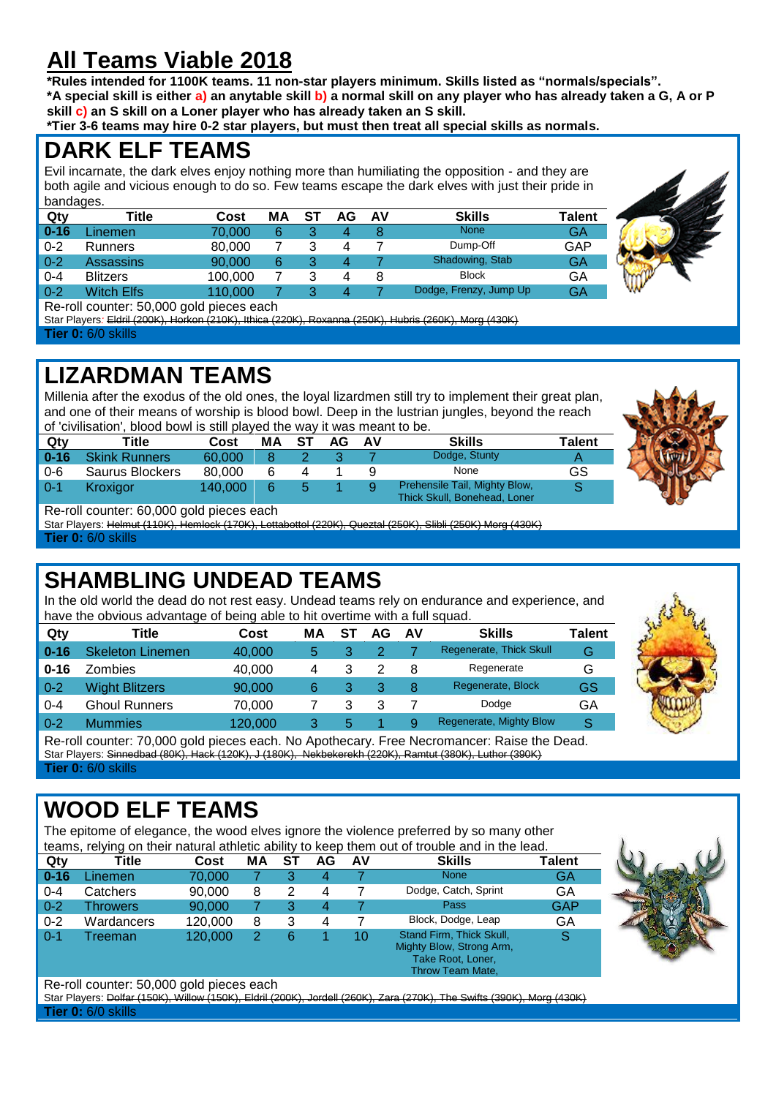# **All Teams Viable 2018**

**\*Rules intended for 1100K teams. 11 non-star players minimum. Skills listed as "normals/specials". \*A special skill is either a) an anytable skill b) a normal skill on any player who has already taken a G, A or P skill c) an S skill on a Loner player who has already taken an S skill.**

**\*Tier 3-6 teams may hire 0-2 star players, but must then treat all special skills as normals.**

#### **DARK ELF TEAMS**

Evil incarnate, the dark elves enjoy nothing more than humiliating the opposition - and they are both agile and vicious enough to do so. Few teams escape the dark elves with just their pride in bandages.

| Qty      | Title             | Cost    | MΑ | S1 | <b>AV</b> | <b>Skills</b>          | <b>Talent</b> |  |
|----------|-------------------|---------|----|----|-----------|------------------------|---------------|--|
| $0 - 16$ | Linemen           | 70.000  |    |    |           | <b>None</b>            | GA            |  |
| $0 - 2$  | <b>Runners</b>    | 80,000  |    |    |           | Dump-Off               | GAP           |  |
| $0 - 2$  | Assassins         | 90,000  | 6  |    |           | Shadowing, Stab        | <b>GA</b>     |  |
| $0 - 4$  | <b>Blitzers</b>   | 100.000 |    |    |           | <b>Block</b>           | GA            |  |
| $0 - 2$  | <b>Witch Elfs</b> | 110,000 |    |    |           | Dodge, Frenzy, Jump Up | GΑ            |  |
| $\sim$   | .<br>$-0.000$     |         |    |    |           |                        |               |  |

Re-roll counter: 50,000 gold pieces each

Star Players*:* Eldril (200K), Horkon (210K), Ithica (220K), Roxanna (250K), Hubris (260K), Morg (430K) **Tier 0:** 6/0 skills

#### **LIZARDMAN TEAMS**

Millenia after the exodus of the old ones, the loyal lizardmen still try to implement their great plan, and one of their means of worship is blood bowl. Deep in the lustrian jungles, beyond the reach of 'civilisation', blood bowl is still played the way it was meant to be.

| Qtv      | Title                | Cost    | МA | -ST | AG. | AV | <b>Skills</b>                                                 | Talent |  |  |  |  |  |  |
|----------|----------------------|---------|----|-----|-----|----|---------------------------------------------------------------|--------|--|--|--|--|--|--|
| $0 - 16$ | <b>Skink Runners</b> | 60.000  |    |     |     |    | Dodge, Stunty                                                 |        |  |  |  |  |  |  |
| $0 - 6$  | Saurus Blockers      | 80,000  |    |     |     |    | None                                                          | GS     |  |  |  |  |  |  |
| $0 - 1$  | Kroxigor             | 140.000 | 6  |     |     |    | Prehensile Tail, Mighty Blow,<br>Thick Skull, Bonehead, Loner |        |  |  |  |  |  |  |

Re-roll counter: 60,000 gold pieces each

Star Players: Helmut (110K), Hemlock (170K), Lottabottol (220K), Queztal (250K), Slibli (250K) Morg (430K) **Tier 0:** 6/0 skills

# **SHAMBLING UNDEAD TEAMS**

In the old world the dead do not rest easy. Undead teams rely on endurance and experience, and have the obvious advantage of being able to hit overtime with a full squad.

| Qty      | Title                 | Cost    | МA | S1 | AG | AV | <b>Skills</b>           | <b>Talent</b> |
|----------|-----------------------|---------|----|----|----|----|-------------------------|---------------|
| $0 - 16$ | Skeleton Linemen      | 40,000  | 5  |    |    |    | Regenerate, Thick Skull | G             |
| $0 - 16$ | Zombies               | 40,000  | 4  |    |    | 8  | Regenerate              | G             |
| $0 - 2$  | <b>Wight Blitzers</b> | 90,000  | 6  |    | 3  | 8  | Regenerate, Block       | GS            |
| $0 - 4$  | <b>Ghoul Runners</b>  | 70,000  |    |    |    |    | Dodge                   | GA            |
| $0 - 2$  | <b>Mummies</b>        | 120,000 | 3  | 5  |    | 9  | Regenerate, Mighty Blow | S             |



**SALE** 

Re-roll counter: 70,000 gold pieces each. No Apothecary. Free Necromancer: Raise the Dead. Star Players: Sinnedbad (80K), Hack (120K), J (180K), Nekbekerekh (220K), Ramtut (380K), Luthor (390K) **Tier 0:** 6/0 skills

# **WOOD ELF TEAMS**

The epitome of elegance, the wood elves ignore the violence preferred by so many other teams, relying on their natural athletic ability to keep them out of trouble and in the lead.

|                          | warno, rerying on their natural atmosty ability to Koop thom out or trouble and in the load. |         |    |    |    |    |                                                                                               |        |  |  |  |  |  |
|--------------------------|----------------------------------------------------------------------------------------------|---------|----|----|----|----|-----------------------------------------------------------------------------------------------|--------|--|--|--|--|--|
| Qty                      | Title                                                                                        | Cost    | MА | ST | AG | AV | <b>Skills</b>                                                                                 | Talent |  |  |  |  |  |
| $0 - 16$                 | Linemen.                                                                                     | 70.000  |    |    | 4  |    | <b>None</b>                                                                                   | GA     |  |  |  |  |  |
| $0 - 4$                  | Catchers                                                                                     | 90,000  | 8  |    | 4  |    | Dodge, Catch, Sprint                                                                          | GA     |  |  |  |  |  |
| $0 - 2$                  | Throwers                                                                                     | 90,000  |    | 3  | 4  |    | Pass                                                                                          | GAP    |  |  |  |  |  |
| $0 - 2$                  | Wardancers                                                                                   | 120,000 | 8  | 3  | 4  |    | Block, Dodge, Leap                                                                            | GA     |  |  |  |  |  |
| $0 - 1$                  | Treeman                                                                                      | 120,000 |    | 6  |    | 10 | Stand Firm, Thick Skull,<br>Mighty Blow, Strong Arm,<br>Take Root, Loner,<br>Throw Team Mate, | S      |  |  |  |  |  |
| $\overline{\phantom{a}}$ | <br>-- ---                                                                                   | .       |    |    |    |    |                                                                                               |        |  |  |  |  |  |



#### Re-roll counter: 50,000 gold pieces each

Star Players: Dolfar (150K), Willow (150K), Eldril (200K), Jordell (260K), Zara (270K), The Swifts (390K), Morg (430K) **Tier 0:** 6/0 skills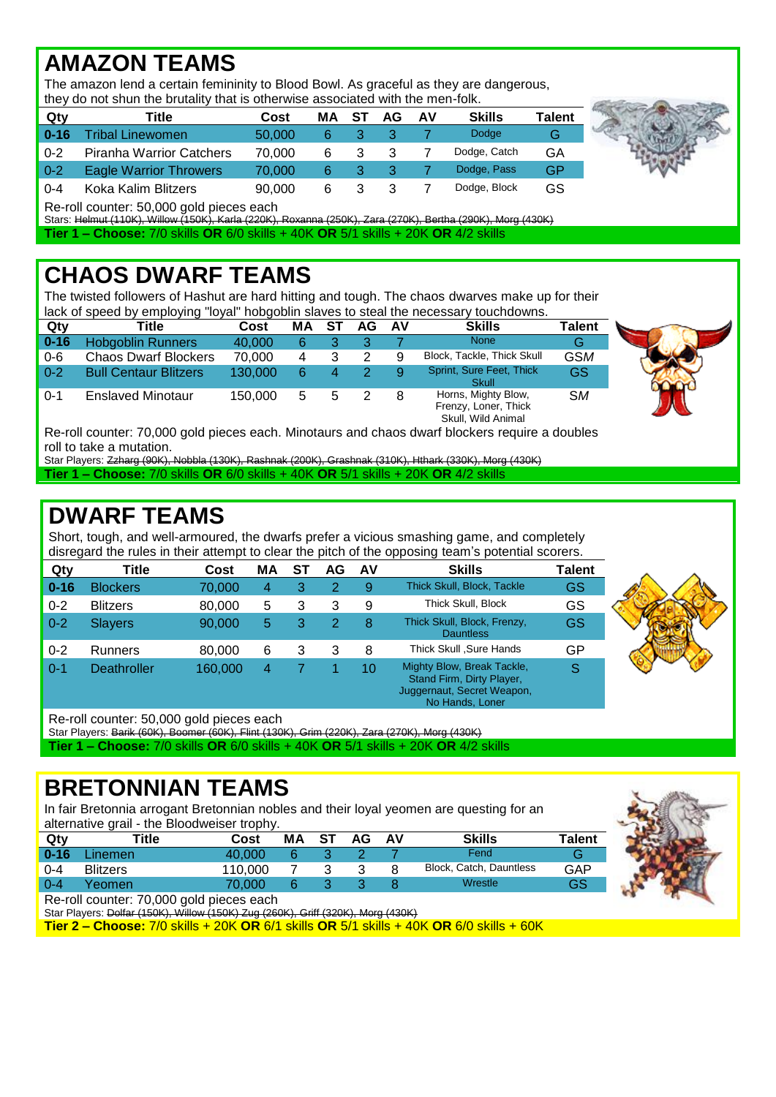# **AMAZON TEAMS**

The amazon lend a certain femininity to Blood Bowl. As graceful as they are dangerous, they do not shun the brutality that is otherwise associated with the men-folk.

|          | they do not share the pratality that is otherwise associated with the member. |        |    |    |    |    |               |        |
|----------|-------------------------------------------------------------------------------|--------|----|----|----|----|---------------|--------|
| Qty      | Title                                                                         | Cost   | MА | ST | AG | AV | <b>Skills</b> | Talent |
| $0 - 16$ | <b>Tribal Linewomen</b>                                                       | 50,000 | 6  |    |    |    | Dodge         | G      |
| $0 - 2$  | <b>Piranha Warrior Catchers</b>                                               | 70.000 | 6  | 3  |    |    | Dodge, Catch  | GA     |
| $0 - 2$  | <b>Eagle Warrior Throwers</b>                                                 | 70.000 | -6 | 3  |    |    | Dodge, Pass   | GP     |
| $0 - 4$  | Koka Kalim Blitzers                                                           | 90.000 | 6  | 3  |    |    | Dodge, Block  | GS     |

Re-roll counter: 50,000 gold pieces each

Stars: Helmut (110K), Willow (150K), Karla (220K), Roxanna (250K), Zara (270K), Bertha (290K), Morg (430K)

**Tier 1 – Choose:** 7/0 skills **OR** 6/0 skills + 40K **OR** 5/1 skills + 20K **OR** 4/2 skills

# **CHAOS DWARF TEAMS**

The twisted followers of Hashut are hard hitting and tough. The chaos dwarves make up for their lack of speed by employing "loyal" hobgoblin slaves to steal the necessary touchdowns.

| Qty      | Title                                                                                                                                                                                                                          | Cost    | МA | S1 | AG | AV | <b>Skills</b>                                                     | <b>Talent</b> |  |
|----------|--------------------------------------------------------------------------------------------------------------------------------------------------------------------------------------------------------------------------------|---------|----|----|----|----|-------------------------------------------------------------------|---------------|--|
| $0 - 16$ | <b>Hobgoblin Runners</b>                                                                                                                                                                                                       | 40,000  | 6  |    |    |    | <b>None</b>                                                       | G             |  |
| $0 - 6$  | <b>Chaos Dwarf Blockers</b>                                                                                                                                                                                                    | 70.000  | 4  |    |    |    | Block, Tackle, Thick Skull                                        | <b>GSM</b>    |  |
| $0 - 2$  | <b>Bull Centaur Blitzers</b>                                                                                                                                                                                                   | 130,000 | 6  |    |    |    | Sprint, Sure Feet, Thick<br>Skull                                 | GS            |  |
| $0 - 1$  | <b>Enslaved Minotaur</b>                                                                                                                                                                                                       | 150.000 | 5  |    |    |    | Horns, Mighty Blow,<br>Frenzy, Loner, Thick<br>Skull, Wild Animal | <b>SM</b>     |  |
|          | The selling and the TA AAA selling second and and second and selling the second to the film of the second second second second second second second second second second second second second second second second second seco |         |    |    |    |    |                                                                   |               |  |

Re-roll counter: 70,000 gold pieces each. Minotaurs and chaos dwarf blockers require a doubles roll to take a mutation.

Star Players: Zzharg (90K), Nobbla (130K), Rashnak (200K), Grashnak (310K), Hthark (330K), Morg (430K) **Tier 1 – Choose:** 7/0 skills **OR** 6/0 skills + 40K **OR** 5/1 skills + 20K **OR** 4/2 skills

# **DWARF TEAMS**

Short, tough, and well-armoured, the dwarfs prefer a vicious smashing game, and completely disregard the rules in their attempt to clear the pitch of the opposing team's potential scorers.

| Qty      | Title              | Cost    | ΜA | S1 | AG | AV | <b>Skills</b>                                                                                            | <b>Talent</b> |  |  |  |  |
|----------|--------------------|---------|----|----|----|----|----------------------------------------------------------------------------------------------------------|---------------|--|--|--|--|
| $0 - 16$ | <b>Blockers</b>    | 70,000  | 4  |    |    | 9  | Thick Skull, Block, Tackle                                                                               | GS            |  |  |  |  |
| $0 - 2$  | <b>Blitzers</b>    | 80,000  | 5  |    |    | 9  | Thick Skull, Block                                                                                       | GS            |  |  |  |  |
| $0 - 2$  | <b>Slayers</b>     | 90,000  | 5  |    |    | 8  | Thick Skull, Block, Frenzy,<br><b>Dauntless</b>                                                          | GS            |  |  |  |  |
| $0 - 2$  | <b>Runners</b>     | 80,000  | 6  |    |    | 8  | Thick Skull , Sure Hands                                                                                 | GP            |  |  |  |  |
| $0 - 1$  | <b>Deathroller</b> | 160,000 | 4  |    |    | 10 | Mighty Blow, Break Tackle,<br>Stand Firm, Dirty Player,<br>Juggernaut, Secret Weapon,<br>No Hands, Loner | S             |  |  |  |  |

Re-roll counter: 50,000 gold pieces each

Star Players: Barik (60K), Boomer (60K), Flint (130K), Grim (220K), Zara (270K), Morg (430K) **Tier 1 – Choose:** 7/0 skills **OR** 6/0 skills + 40K **OR** 5/1 skills + 20K **OR** 4/2 skills

#### **BRETONNIAN TEAMS**

In fair Bretonnia arrogant Bretonnian nobles and their loyal yeomen are questing for an alternative grail - the Bloodweiser trophy.

| Qty      | Title           | Cost    | MA | ST | AG. | AV | <b>Skills</b>           | <b>Talent</b> |
|----------|-----------------|---------|----|----|-----|----|-------------------------|---------------|
| $0 - 16$ | Linemen         | 40.000  |    |    |     |    | Fend                    |               |
| $0 - 4$  | <b>Blitzers</b> | 110.000 |    |    |     |    | Block, Catch, Dauntless | GAP           |
| $0 - 4$  | Yeomen          | 70.000  |    |    |     |    | Wrestle                 | GS            |
| $\sim$   | .<br>-----      |         |    |    |     |    |                         |               |



Re-roll counter: 70,000 gold pieces each

Star Players: Dolfar (150K), Willow (150K) Zug (260K), Griff (320K), Morg (430K)

**Tier 2 – Choose:** 7/0 skills + 20K **OR** 6/1 skills **OR** 5/1 skills + 40K **OR** 6/0 skills + 60K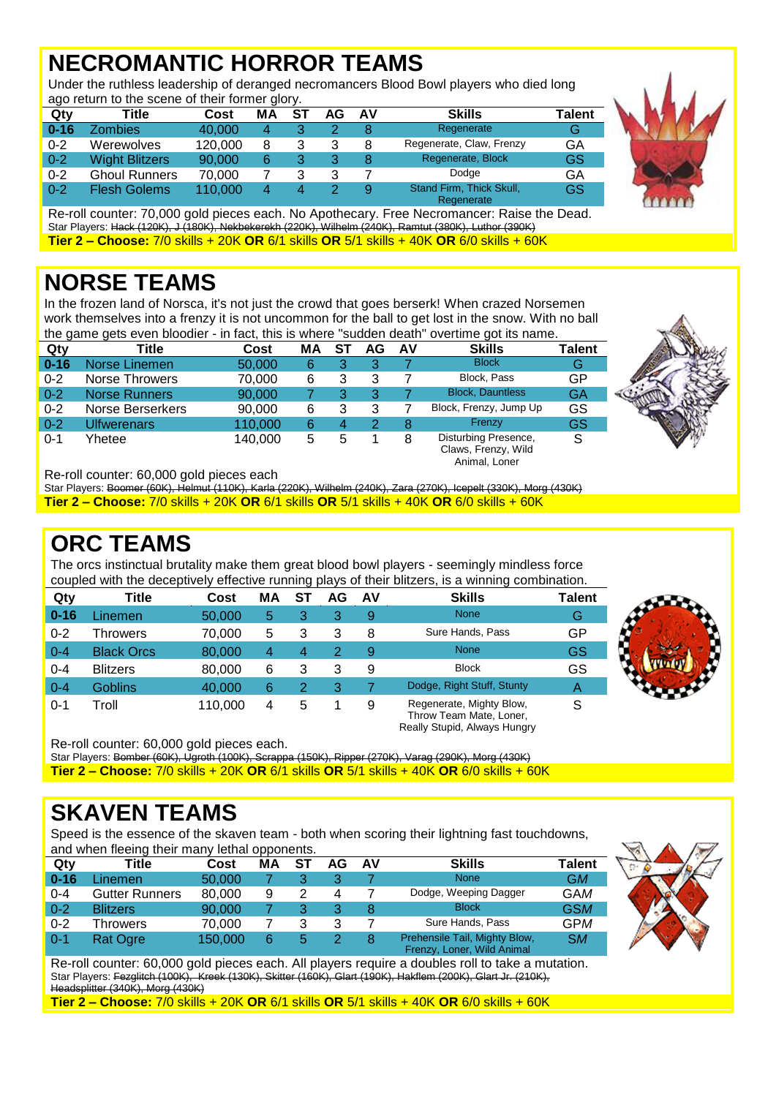# **NECROMANTIC HORROR TEAMS**

Under the ruthless leadership of deranged necromancers Blood Bowl players who died long ago return to the scene of their former glory.

| - ت<br>Qty | Title                 | Cost    | МA | -ST | AG | AV | <b>Skills</b>                          | Talent |
|------------|-----------------------|---------|----|-----|----|----|----------------------------------------|--------|
| $0 - 16$   | Zombies.              | 40,000  | 4  | 3   |    |    | Regenerate                             | G      |
| $0 - 2$    | Werewolves            | 120.000 | 8  | 3   |    |    | Regenerate, Claw, Frenzy               | GA     |
| $0 - 2$    | <b>Wight Blitzers</b> | 90,000  | 6  | 3   |    |    | Regenerate, Block                      | GS     |
| $0 - 2$    | <b>Ghoul Runners</b>  | 70,000  |    | 3   |    |    | Dodge                                  | GA     |
| $0 - 2$    | <b>Flesh Golems</b>   | 110.000 | 4  | 4   |    |    | Stand Firm, Thick Skull,<br>Regenerate | GS     |



Re-roll counter: 70,000 gold pieces each. No Apothecary. Free Necromancer: Raise the Dead. Star Players: Hack (120K), J (180K), Nekbekerekh (220K), Wilhelm (240K), Ramtut (380K), Luthor (390K) **Tier 2 – Choose:** 7/0 skills + 20K **OR** 6/1 skills **OR** 5/1 skills + 40K **OR** 6/0 skills + 60K

#### **NORSE TEAMS**

In the frozen land of Norsca, it's not just the crowd that goes berserk! When crazed Norsemen work themselves into a frenzy it is not uncommon for the ball to get lost in the snow. With no ball the game gets even bloodier - in fact, this is where "sudden death" overtime got its name.

| Qty      | Title                | Cost    | МA | SТ | AG | AV | <b>Skills</b>                               | Talent |
|----------|----------------------|---------|----|----|----|----|---------------------------------------------|--------|
| $0 - 16$ | Norse Linemen        | 50,000  | 6  | 3  | 3  |    | <b>Block</b>                                | G      |
| $0 - 2$  | Norse Throwers       | 70,000  | 6  | 3  | 3  |    | Block, Pass                                 | GP     |
| $0 - 2$  | <b>Norse Runners</b> | 90,000  |    | 3  | 3  |    | <b>Block, Dauntless</b>                     | GA     |
| $0 - 2$  | Norse Berserkers     | 90,000  | 6  | 3  | 3  |    | Block, Frenzy, Jump Up                      | GS     |
| $0 - 2$  | Ulfwerenars          | 110,000 | 6  | 4  | 2  | 8  | Frenzy                                      | GS     |
| $0 - 1$  | Yhetee               | 140.000 | 5  | 5  |    | 8  | Disturbing Presence,<br>Claws, Frenzy, Wild | S      |

Animal, Loner

Really Stupid, Always Hungry

Re-roll counter: 60,000 gold pieces each

Star Players: Boomer (60K), Helmut (110K), Karla (220K), Wilhelm (240K), Zara (270K), Icepelt (330K), Morg (430K) **Tier 2 – Choose:** 7/0 skills + 20K **OR** 6/1 skills **OR** 5/1 skills + 40K **OR** 6/0 skills + 60K

#### **ORC TEAMS**

The orcs instinctual brutality make them great blood bowl players - seemingly mindless force coupled with the deceptively effective running plays of their blitzers, is a winning combination.

| Qty      | Title             | Cost    | МA | ST | AG | AV | <b>Skills</b>                                       | Talent |
|----------|-------------------|---------|----|----|----|----|-----------------------------------------------------|--------|
| $0 - 16$ | _inemen           | 50,000  | 5  | 3  | 3  | 9  | <b>None</b>                                         | G      |
| $0 - 2$  | Throwers          | 70.000  | 5  | 3  | 3  | 8  | Sure Hands, Pass                                    | GP     |
| $0 - 4$  | <b>Black Orcs</b> | 80,000  | 4  | 4  | 2  | 9  | <b>None</b>                                         | GS     |
| $0 - 4$  | <b>Blitzers</b>   | 80,000  | 6  | 3  | 3  | 9  | <b>Block</b>                                        | GS     |
| $0 - 4$  | <b>Goblins</b>    | 40.000  | 6  | 2  | 3  |    | Dodge, Right Stuff, Stunty                          | A      |
| $0 - 1$  | Troll             | 110.000 | 4  | 5  |    | 9  | Regenerate, Mighty Blow,<br>Throw Team Mate, Loner, | S      |



Re-roll counter: 60,000 gold pieces each.

Star Players: Bomber (60K), Ugroth (100K), Scrappa (150K), Ripper (270K), Varag (290K), Morg (430K) **Tier 2 – Choose:** 7/0 skills + 20K **OR** 6/1 skills **OR** 5/1 skills + 40K **OR** 6/0 skills + 60K

#### **SKAVEN TEAMS**

Speed is the essence of the skaven team - both when scoring their lightning fast touchdowns, and when fleeing their many lethal opponents.

| Qty      | Title           | Cost    | ΜA | SТ | AG | AV | <b>Skills</b>                                               | Talent     |
|----------|-----------------|---------|----|----|----|----|-------------------------------------------------------------|------------|
| $0 - 16$ | .inemen         | 50,000  |    |    |    |    | <b>None</b>                                                 | GM         |
| $0 - 4$  | Gutter Runners  | 80,000  | 9  | 2  | 4  |    | Dodge, Weeping Dagger                                       | GAM        |
| $0-2$    | <b>Blitzers</b> | 90,000  |    |    |    |    | <b>Block</b>                                                | <b>GSM</b> |
| $0 - 2$  | Throwers        | 70,000  |    | 3  |    |    | Sure Hands, Pass                                            | GPM        |
| $0-1$    | Rat Ogre        | 150,000 | 6  | 5  |    |    | Prehensile Tail, Mighty Blow,<br>Frenzy, Loner, Wild Animal | <b>SM</b>  |



Re-roll counter: 60,000 gold pieces each. All players require a doubles roll to take a mutation. Star Players: Fezglitch (100K), Kreek (130K), Skitter (160K), Glart (190K), Hakflem (200K), Glart Jr. (210K), Headsplitter (340K), Morg (430K)

**Tier 2 – Choose:** 7/0 skills + 20K **OR** 6/1 skills **OR** 5/1 skills + 40K **OR** 6/0 skills + 60K

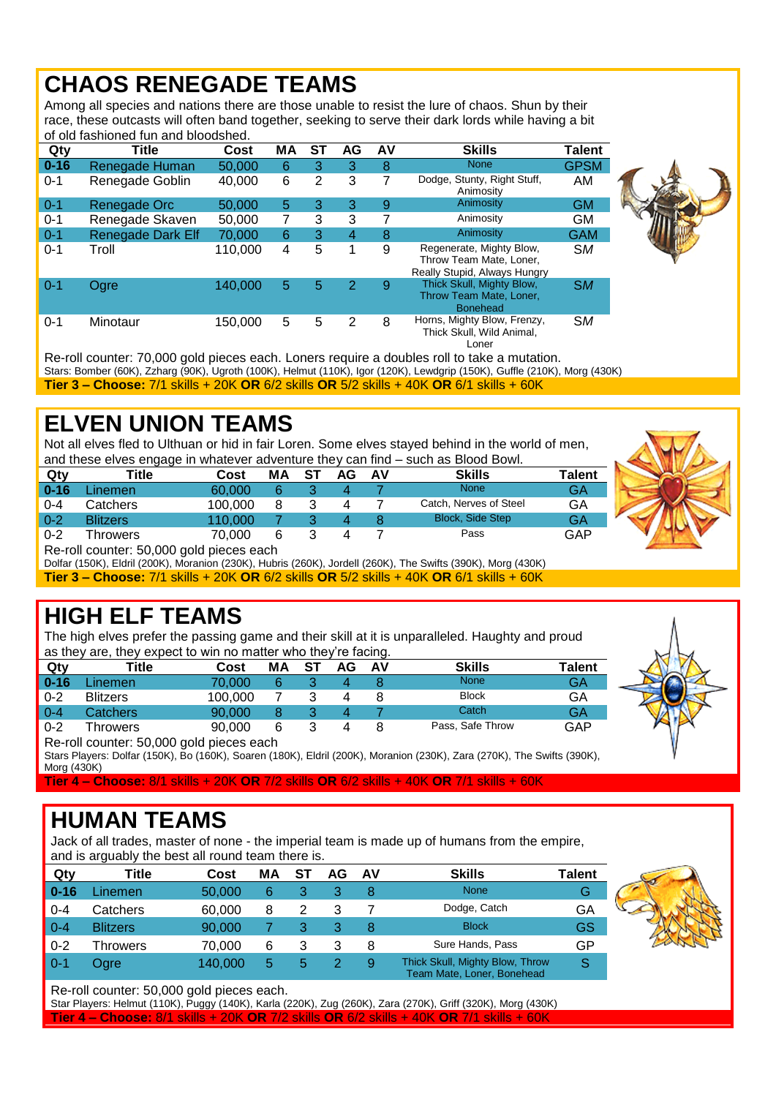#### **CHAOS RENEGADE TEAMS**

Among all species and nations there are those unable to resist the lure of chaos. Shun by their race, these outcasts will often band together, seeking to serve their dark lords while having a bit of old fashioned fun and bloodshed.

| Qty      | Title             | Cost    | МA | SТ             | AG             | AV | <b>Skills</b>                                                                       | Talent      |  |
|----------|-------------------|---------|----|----------------|----------------|----|-------------------------------------------------------------------------------------|-------------|--|
| $0 - 16$ | Renegade Human    | 50,000  | 6  | 3              | 3              | 8  | <b>None</b>                                                                         | <b>GPSM</b> |  |
| $0 - 1$  | Renegade Goblin   | 40,000  | 6  | $\overline{2}$ | 3              | 7  | Dodge, Stunty, Right Stuff,<br>Animosity                                            | AM          |  |
| $0 - 1$  | Renegade Orc      | 50,000  | 5  | 3              | 3              | 9  | Animosity                                                                           | <b>GM</b>   |  |
| $0 - 1$  | Renegade Skaven   | 50,000  | 7  | 3              | 3              | 7  | Animosity                                                                           | GM          |  |
| $0 - 1$  | Renegade Dark Elf | 70,000  | 6  | 3              | $\overline{4}$ | 8  | Animosity                                                                           | <b>GAM</b>  |  |
| $0 - 1$  | Troll             | 110,000 | 4  | 5              | 1              | 9  | Regenerate, Mighty Blow,<br>Throw Team Mate, Loner.<br>Really Stupid, Always Hungry | <b>SM</b>   |  |
| $0 - 1$  | Ogre              | 140,000 | 5  | 5              | 2              | 9  | Thick Skull, Mighty Blow,<br>Throw Team Mate, Loner,<br><b>Bonehead</b>             | <b>SM</b>   |  |
| $0 - 1$  | Minotaur          | 150,000 | 5  | 5              | 2              | 8  | Horns, Mighty Blow, Frenzy,<br>Thick Skull, Wild Animal,<br>Loner                   | <b>SM</b>   |  |

Re-roll counter: 70,000 gold pieces each. Loners require a doubles roll to take a mutation. Stars: Bomber (60K), Zzharg (90K), Ugroth (100K), Helmut (110K), Igor (120K), Lewdgrip (150K), Guffle (210K), Morg (430K) **Tier 3 – Choose:** 7/1 skills + 20K **OR** 6/2 skills **OR** 5/2 skills + 40K **OR** 6/1 skills + 60K

# **ELVEN UNION TEAMS**

Not all elves fled to Ulthuan or hid in fair Loren. Some elves stayed behind in the world of men, and these elves engage in whatever adventure they can find – such as Blood Bowl.

| Qty      | Title           | Cost    | ΜA | ST | AG | AV | <b>Skills</b>           | <b>Talent</b> |
|----------|-----------------|---------|----|----|----|----|-------------------------|---------------|
| $0 - 16$ | Linemen         | 60.000  |    |    |    |    | <b>None</b>             | GA            |
| $0 - 4$  | Catchers        | 100.000 |    |    |    |    | Catch, Nerves of Steel  | GA            |
| $0 - 2$  | <b>Blitzers</b> | 110.000 |    |    |    |    | <b>Block, Side Step</b> | GA            |
| $0 - 2$  | hrowers         | 70.000  | 6  |    |    |    | Pass                    | GAP           |

Re-roll counter: 50,000 gold pieces each

Dolfar (150K), Eldril (200K), Moranion (230K), Hubris (260K), Jordell (260K), The Swifts (390K), Morg (430K) **Tier 3 – Choose:** 7/1 skills + 20K **OR** 6/2 skills **OR** 5/2 skills + 40K **OR** 6/1 skills + 60K

# **HIGH ELF TEAMS**

The high elves prefer the passing game and their skill at it is unparalleled. Haughty and proud as they are, they expect to win no matter who they're facing.

| Qty      | Title                                    | Cost    | MА | SТ | AG | AV | <b>Skills</b>    | <b>Talent</b> |  |  |
|----------|------------------------------------------|---------|----|----|----|----|------------------|---------------|--|--|
| $0 - 16$ | .inemen                                  | 70.000  |    |    |    |    | None             | GA            |  |  |
| $0 - 2$  | Blitzers                                 | 100.000 |    |    |    |    | <b>Block</b>     | GA            |  |  |
| $0 - 4$  | Catchers                                 | 90.000  |    |    | 4  |    | Catch            | GA            |  |  |
| $0 - 2$  | Throwers                                 | 90.000  | 6  |    |    |    | Pass, Safe Throw | GAP           |  |  |
|          | Bo roll counter: EQ 000 gold piccos coop |         |    |    |    |    |                  |               |  |  |



Re-roll counter: 50,000 gold pieces each Stars Players: Dolfar (150K), Bo (160K), Soaren (180K), Eldril (200K), Moranion (230K), Zara (270K), The Swifts (390K), Morg (430K)

**Tier 4 – Choose:** 8/1 skills + 20K **OR** 7/2 skills **OR** 6/2 skills + 40K **OR** 7/1 skills + 60K

# **HUMAN TEAMS**

Jack of all trades, master of none - the imperial team is made up of humans from the empire, and is arguably the best all round team there is.

| Qty      | Title           | Cost    | МA | AG | AV | <b>Skills</b>                                                 | Talent |  |
|----------|-----------------|---------|----|----|----|---------------------------------------------------------------|--------|--|
| $0 - 16$ | Linemen.        | 50,000  | 6  |    | 8  | <b>None</b>                                                   | G      |  |
| $0 - 4$  | Catchers        | 60,000  | 8  |    |    | Dodge, Catch                                                  | GA     |  |
| $0 - 4$  | <b>Blitzers</b> | 90,000  |    |    | 8  | <b>Block</b>                                                  | GS     |  |
| $0 - 2$  | Throwers        | 70,000  | 6  |    | 8  | Sure Hands, Pass                                              | GP     |  |
| $0 - 1$  | Ogre            | 140.000 | 5  |    | 9  | Thick Skull, Mighty Blow, Throw<br>Team Mate, Loner, Bonehead |        |  |



Star Players: Helmut (110K), Puggy (140K), Karla (220K), Zug (260K), Zara (270K), Griff (320K), Morg (430K) **Tier 4 – Choose:** 8/1 skills + 20K **OR** 7/2 skills **OR** 6/2 skills + 40K **OR** 7/1 skills + 60K

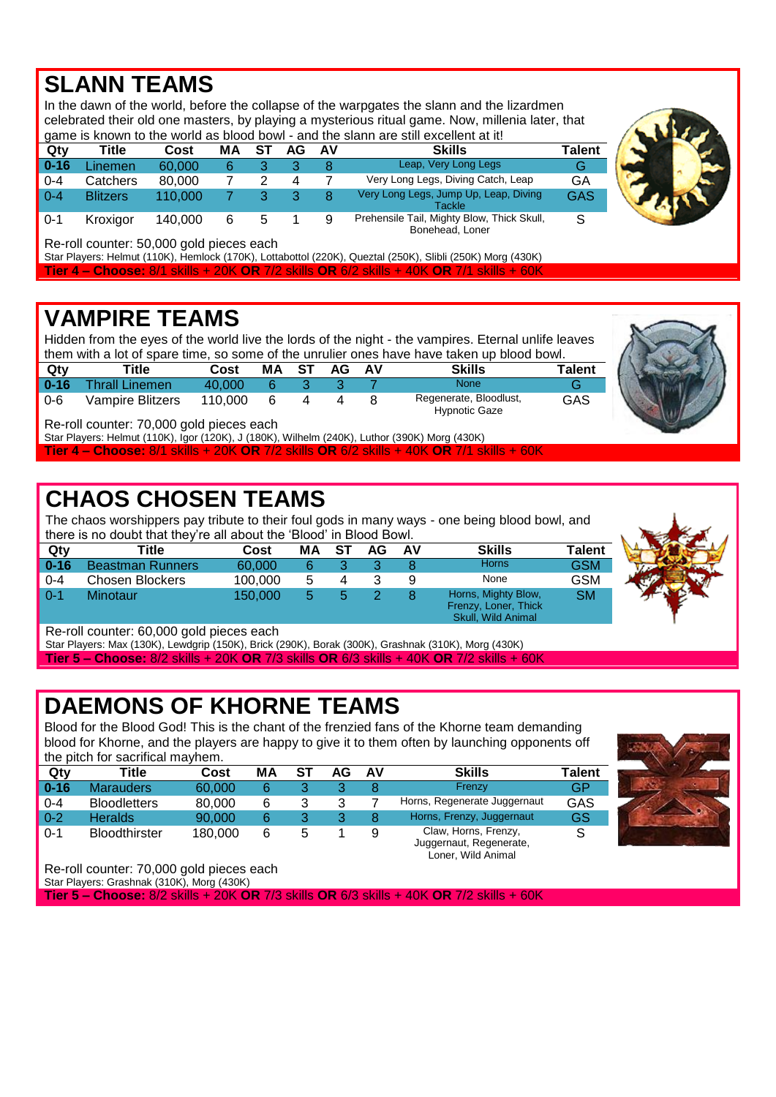#### **SLANN TEAMS**

In the dawn of the world, before the collapse of the warpgates the slann and the lizardmen celebrated their old one masters, by playing a mysterious ritual game. Now, millenia later, that game is known to the world as blood bowl - and the slann are still excellent at it! **Qty Title Cost MA ST AG AV Skills Talent**

| $\blacksquare$ 0-16 | .inemen         | 60,000  |   |  |   | Leap, Very Long Legs                            | G   |
|---------------------|-----------------|---------|---|--|---|-------------------------------------------------|-----|
| 0-4                 | Catchers        | 80.000  |   |  |   | Very Long Legs, Diving Catch, Leap              | GA  |
| $0 - 4$             | <b>Blitzers</b> | 110.000 |   |  |   | Very Long Legs, Jump Up, Leap, Diving<br>Tackle | GAS |
| -0-1                | Kroxigor        | 140.000 | 6 |  | a | Prehensile Tail, Mighty Blow, Thick Skull,      | S   |

Bonehead, Loner



Re-roll counter: 50,000 gold pieces each

Star Players: Helmut (110K), Hemlock (170K), Lottabottol (220K), Queztal (250K), Slibli (250K) Morg (430K) **Tier 4 – Choose:** 8/1 skills + 20K **OR** 7/2 skills **OR** 6/2 skills + 40K **OR** 7/1 skills + 60K

#### **VAMPIRE TEAMS**

Hidden from the eyes of the world live the lords of the night - the vampires. Eternal unlife leaves them with a lot of spare time, so some of the unrulier ones have have taken up blood bowl.

| Qty      | Title                   | Cost    | МA | -ST | AG | AV | <b>Skills</b>                           | <b>Talent</b> |
|----------|-------------------------|---------|----|-----|----|----|-----------------------------------------|---------------|
| $0 - 16$ | <b>Thrall Linemen</b>   | 40.000  |    |     |    |    | None                                    | G             |
| $0 - 6$  | <b>Vampire Blitzers</b> | 110.000 |    |     |    |    | Regenerate, Bloodlust,<br>Hypnotic Gaze | GAS           |

Re-roll counter: 70,000 gold pieces each

Star Players: Helmut (110K), Igor (120K), J (180K), Wilhelm (240K), Luthor (390K) Morg (430K) **Tier 4 – Choose:** 8/1 skills + 20K **OR** 7/2 skills **OR** 6/2 skills + 40K **OR** 7/1 skills + 60K

# **CHAOS CHOSEN TEAMS**

The chaos worshippers pay tribute to their foul gods in many ways - one being blood bowl, and there is no doubt that they're all about the 'Blood' in Blood Bowl.

| Qty      | Title                   | Cost    | МA | S1 | AG | AV | <b>Skills</b>                                                     | <b>Talent</b> |  |  |  |  |
|----------|-------------------------|---------|----|----|----|----|-------------------------------------------------------------------|---------------|--|--|--|--|
| $0 - 16$ | <b>Beastman Runners</b> | 60.000  |    |    |    |    | <b>Horns</b>                                                      | GSM           |  |  |  |  |
| $0 - 4$  | Chosen Blockers         | 100.000 | 5  |    |    | 9  | None                                                              | GSM           |  |  |  |  |
| $0 - 1$  | Minotaur                | 150.000 | 5  |    |    |    | Horns, Mighty Blow,<br>Frenzy, Loner, Thick<br>Skull, Wild Animal | <b>SM</b>     |  |  |  |  |



Re-roll counter: 60,000 gold pieces each

Star Players: Max (130K), Lewdgrip (150K), Brick (290K), Borak (300K), Grashnak (310K), Morg (430K) **Tier 5 – Choose:** 8/2 skills + 20K **OR** 7/3 skills **OR** 6/3 skills + 40K **OR** 7/2 skills + 60K

# **DAEMONS OF KHORNE TEAMS**

Blood for the Blood God! This is the chant of the frenzied fans of the Khorne team demanding blood for Khorne, and the players are happy to give it to them often by launching opponents off the pitch for sacrifical mayhem.

| Qty      | Title                | Cost    | MА | ST | AG | AV | <b>Skills</b>                                   | Talent |  |  |  |  |
|----------|----------------------|---------|----|----|----|----|-------------------------------------------------|--------|--|--|--|--|
| $0 - 16$ | <b>Marauders</b>     | 60.000  |    |    |    |    | Frenzy                                          | GP     |  |  |  |  |
| $0 - 4$  | <b>Bloodletters</b>  | 80.000  | 6  |    |    |    | Horns, Regenerate Juggernaut                    | GAS    |  |  |  |  |
| $0 - 2$  | <b>Heralds</b>       | 90.000  | 6  |    |    | 8  | Horns, Frenzy, Juggernaut                       | GS     |  |  |  |  |
| $0 - 1$  | <b>Bloodthirster</b> | 180,000 | 6  |    |    | 9  | Claw, Horns, Frenzy,<br>Juggernaut, Regenerate, |        |  |  |  |  |

Loner, Wild Animal

Re-roll counter: 70,000 gold pieces each

Star Players: Grashnak (310K), Morg (430K)

**Tier 5 – Choose:** 8/2 skills + 20K **OR** 7/3 skills **OR** 6/3 skills + 40K **OR** 7/2 skills + 60K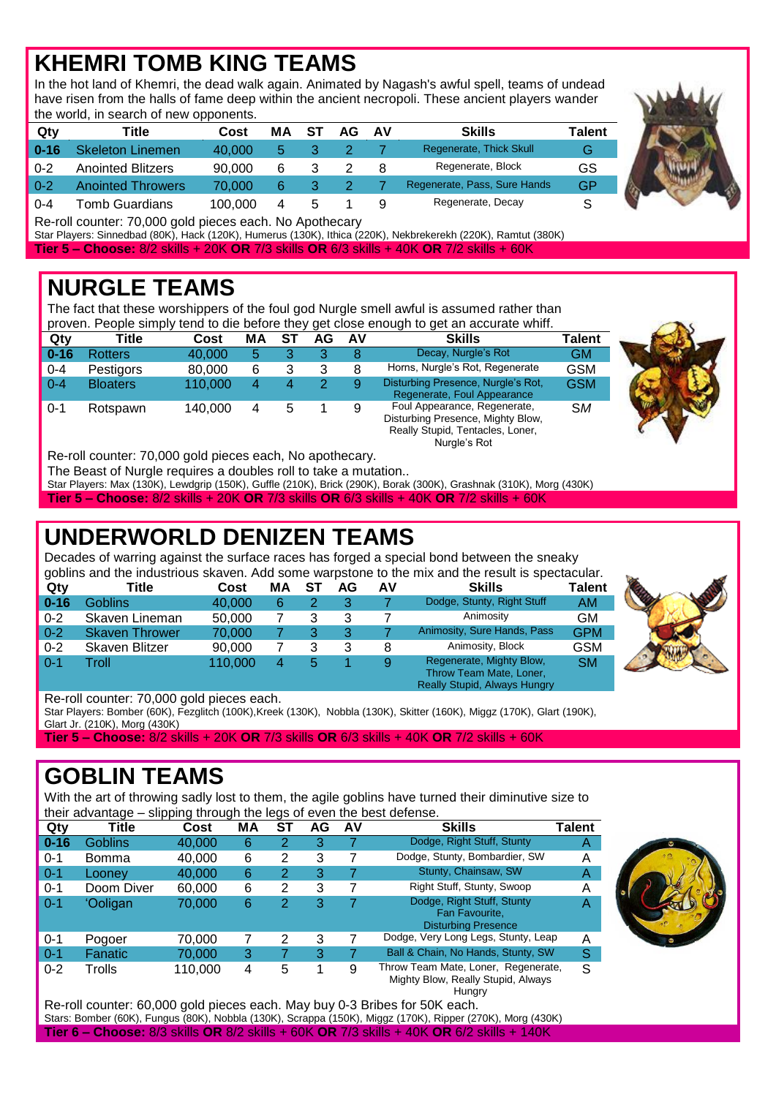# **KHEMRI TOMB KING TEAMS**

In the hot land of Khemri, the dead walk again. Animated by Nagash's awful spell, teams of undead have risen from the halls of fame deep within the ancient necropoli. These ancient players wander the world, in search of new opponents.

| Qty      | Title                    | Cost    | МA | ST | AG | . AV | <b>Skills</b>                | Talent |
|----------|--------------------------|---------|----|----|----|------|------------------------------|--------|
| $0 - 16$ | <b>Skeleton Linemen</b>  | 40.000  | 5  |    |    |      | Regenerate, Thick Skull      | G      |
| $0 - 2$  | <b>Anointed Blitzers</b> | 90,000  | 6  |    |    |      | Regenerate, Block            | GS     |
| $0 - 2$  | <b>Anointed Throwers</b> | 70.000  | 6  |    |    |      | Regenerate, Pass, Sure Hands | GP     |
| $0 - 4$  | Tomb Guardians           | 100.000 | 4  | b  |    |      | Regenerate, Decay            |        |

Re-roll counter: 70,000 gold pieces each. No Apothecary

Star Players: Sinnedbad (80K), Hack (120K), Humerus (130K), Ithica (220K), Nekbrekerekh (220K), Ramtut (380K) **Tier 5 – Choose:** 8/2 skills + 20K **OR** 7/3 skills **OR** 6/3 skills + 40K **OR** 7/2 skills + 60K

#### **NURGLE TEAMS**

The fact that these worshippers of the foul god Nurgle smell awful is assumed rather than proven. People simply tend to die before they get close enough to get an accurate whiff.

| Qty                 | Title           | Cost    | ΜA | ST | AG | A٧ | <b>Skills</b>                                                                                                         | <b>Talent</b> |  |
|---------------------|-----------------|---------|----|----|----|----|-----------------------------------------------------------------------------------------------------------------------|---------------|--|
| $\blacksquare$ 0-16 | <b>Rotters</b>  | 40,000  | 5  |    | 3  | 8  | Decay, Nurgle's Rot                                                                                                   | <b>GM</b>     |  |
| $\vert 0.4 \vert$   | Pestigors       | 80,000  | 6  |    | 3  | 8  | Horns, Nurgle's Rot, Regenerate                                                                                       | <b>GSM</b>    |  |
| $\blacksquare$ 0-4  | <b>Bloaters</b> | 110,000 | 4  |    | 2  | 9  | Disturbing Presence, Nurgle's Rot,<br>Regenerate, Foul Appearance                                                     | <b>GSM</b>    |  |
| $\blacksquare$ 0-1  | Rotspawn        | 140.000 |    |    |    | 9  | Foul Appearance, Regenerate,<br>Disturbing Presence, Mighty Blow,<br>Really Stupid, Tentacles, Loner,<br>Nurale's Rot | <b>SM</b>     |  |

Re-roll counter: 70,000 gold pieces each, No apothecary.

The Beast of Nurgle requires a doubles roll to take a mutation..

Star Players: Max (130K), Lewdgrip (150K), Guffle (210K), Brick (290K), Borak (300K), Grashnak (310K), Morg (430K)

**Tier 5 – Choose:** 8/2 skills + 20K **OR** 7/3 skills **OR** 6/3 skills + 40K **OR** 7/2 skills + 60K

# **UNDERWORLD DENIZEN TEAMS**

Decades of warring against the surface races has forged a special bond between the sneaky

|          | goblins and the industrious skaven. Add some warpstone to the mix and the result is spectacular. |         |    |    |    |    |                                                                                            |            |  |  |  |  |
|----------|--------------------------------------------------------------------------------------------------|---------|----|----|----|----|--------------------------------------------------------------------------------------------|------------|--|--|--|--|
| Qty      | Title                                                                                            | Cost    | МA | ST | AG | AV | <b>Skills</b>                                                                              | Talent     |  |  |  |  |
| $0 - 16$ | <b>Goblins</b>                                                                                   | 40,000  | 6  |    | 3  |    | Dodge, Stunty, Right Stuff                                                                 | AM.        |  |  |  |  |
| $0 - 2$  | Skaven Lineman                                                                                   | 50,000  |    | 3  | 3  |    | Animosity                                                                                  | <b>GM</b>  |  |  |  |  |
| $0 - 2$  | <b>Skaven Thrower</b>                                                                            | 70.000  |    | 3  | 3  |    | Animosity, Sure Hands, Pass                                                                | <b>GPM</b> |  |  |  |  |
| $0 - 2$  | Skaven Blitzer                                                                                   | 90,000  |    | 3  | 3  | 8  | Animosity, Block                                                                           | <b>GSM</b> |  |  |  |  |
| $0 - 1$  | Troll                                                                                            | 110,000 | 4  | 5  |    | 9  | Regenerate, Mighty Blow,<br>Throw Team Mate, Loner,<br><b>Really Stupid, Always Hungry</b> | <b>SM</b>  |  |  |  |  |



Star Players: Bomber (60K), Fezglitch (100K),Kreek (130K), Nobbla (130K), Skitter (160K), Miggz (170K), Glart (190K), Glart Jr. (210K), Morg (430K)

**Tier 5 – Choose:** 8/2 skills + 20K **OR** 7/3 skills **OR** 6/3 skills + 40K **OR** 7/2 skills + 60K

#### **GOBLIN TEAMS**

With the art of throwing sadly lost to them, the agile goblins have turned their diminutive size to their advantage – slipping through the legs of even the best defense.

|          | ີ              | $\cdot$ |    | ີ  |    |    |                                                                                     |        |
|----------|----------------|---------|----|----|----|----|-------------------------------------------------------------------------------------|--------|
| Qty      | Title          | Cost    | MA | ST | AG | AV | <b>Skills</b>                                                                       | Talent |
| $0 - 16$ | Goblins        | 40,000  | 6  | 2  | 3  |    | Dodge, Right Stuff, Stunty                                                          | Α      |
| 0-1      | Bomma          | 40,000  | 6  | 2  | 3  |    | Dodge, Stunty, Bombardier, SW                                                       | Α      |
| $0 - 1$  | Loonev         | 40,000  | 6  | 2  | 3  |    | Stunty, Chainsaw, SW                                                                | A      |
| $0 - 1$  | Doom Diver     | 60.000  | 6  | 2  | 3  |    | Right Stuff, Stunty, Swoop                                                          | Α      |
| $0 - 1$  | <b>Ooligan</b> | 70,000  | 6  | 2  | 3  |    | Dodge, Right Stuff, Stunty<br>Fan Favourite.<br><b>Disturbing Presence</b>          | Α      |
| 0-1      | Pogoer         | 70.000  |    | 2  | 3  | 7  | Dodge, Very Long Legs, Stunty, Leap                                                 | A      |
| $0 - 1$  | Fanatic        | 70,000  | 3  |    | 3  |    | Ball & Chain, No Hands, Stunty, SW                                                  | S      |
| $0 - 2$  | Trolls         | 110,000 | 4  | 5  |    | 9  | Throw Team Mate, Loner, Regenerate,<br>Mighty Blow, Really Stupid, Always<br>Hunary | S      |



Re-roll counter: 60,000 gold pieces each. May buy 0-3 Bribes for 50K each. Stars: Bomber (60K), Fungus (80K), Nobbla (130K), Scrappa (150K), Miggz (170K), Ripper (270K), Morg (430K) **Tier 6 – Choose:** 8/3 skills **OR** 8/2 skills + 60K **OR** 7/3 skills + 40K **OR** 6/2 skills + 140K